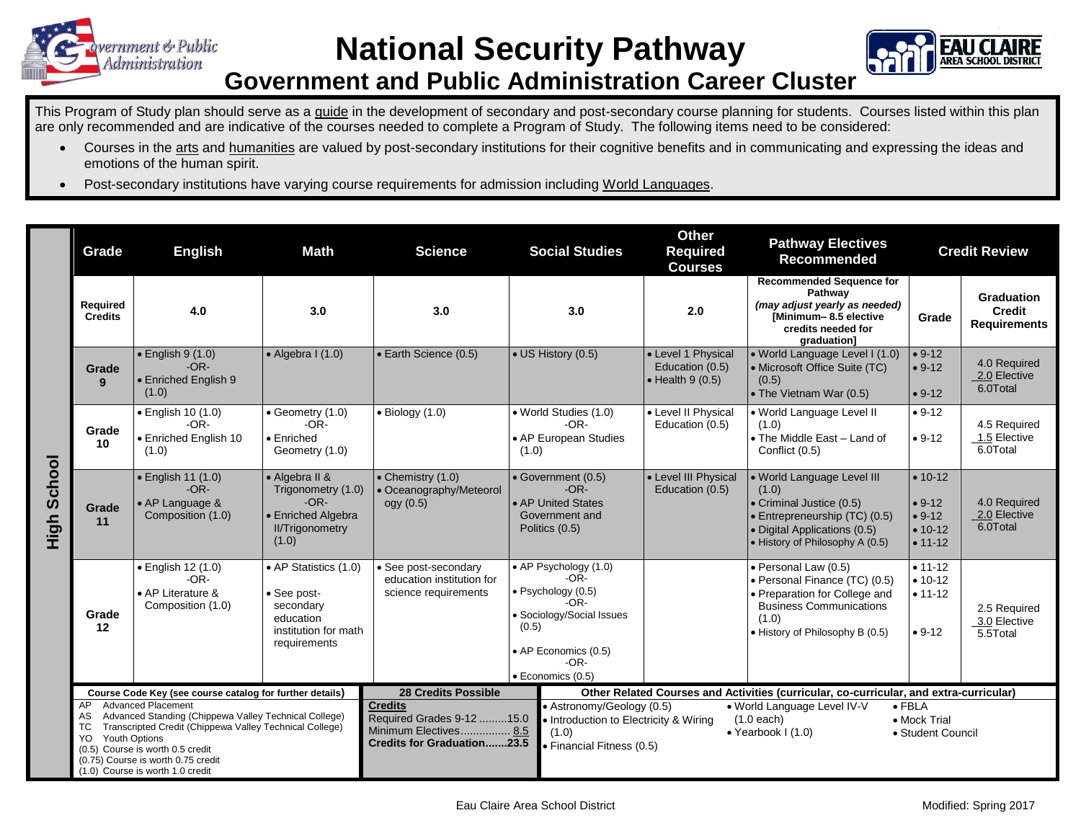

## **National Security Pathway**



## **Government and Public Administration Career Cluster**

This Program of Study plan should serve as a guide in the development of secondary and post-secondary course planning for students. Courses listed within this plan are only recommended and are indicative of the courses needed to complete a Program of Study. The following items need to be considered:

- Courses in the arts and humanities are valued by post-secondary institutions for their cognitive benefits and in communicating and expressing the ideas and emotions of the human spirit.
- Post-secondary institutions have varying course requirements for admission including World Languages.

|                | Grade                                                                                                                                                                                                                                                                                                         | <b>English</b>                                                                                                                                                                          | <b>Math</b>                                                                                            | <b>Science</b>                                                                                                                                                                                                                                                                                                                                      | <b>Social Studies</b>                                                                                                                                                        | <b>Other</b><br><b>Required</b><br><b>Courses</b>                                      | <b>Pathway Electives</b><br><b>Recommended</b>                                                                                                                       | <b>Credit Review</b>                                        |                                                           |
|----------------|---------------------------------------------------------------------------------------------------------------------------------------------------------------------------------------------------------------------------------------------------------------------------------------------------------------|-----------------------------------------------------------------------------------------------------------------------------------------------------------------------------------------|--------------------------------------------------------------------------------------------------------|-----------------------------------------------------------------------------------------------------------------------------------------------------------------------------------------------------------------------------------------------------------------------------------------------------------------------------------------------------|------------------------------------------------------------------------------------------------------------------------------------------------------------------------------|----------------------------------------------------------------------------------------|----------------------------------------------------------------------------------------------------------------------------------------------------------------------|-------------------------------------------------------------|-----------------------------------------------------------|
|                | Required<br><b>Credits</b>                                                                                                                                                                                                                                                                                    | 4.0                                                                                                                                                                                     | 3.0                                                                                                    | 3.0                                                                                                                                                                                                                                                                                                                                                 | 3.0                                                                                                                                                                          | 2.0                                                                                    | <b>Recommended Sequence for</b><br>Pathway<br>(may adjust yearly as needed)<br>Minimum-8.5 elective<br>credits needed for<br>graduation]                             | Grade                                                       | <b>Graduation</b><br><b>Credit</b><br><b>Requirements</b> |
|                | Grade<br>$\mathbf{q}$                                                                                                                                                                                                                                                                                         | $\bullet$ English 9 (1.0)<br>$-OR-$<br>• Enriched English 9<br>(1.0)                                                                                                                    | $\bullet$ Algebra I (1.0)                                                                              | <b>Earth Science (0.5)</b>                                                                                                                                                                                                                                                                                                                          | • US History (0.5)                                                                                                                                                           | • Level 1 Physical<br>Education (0.5)<br>$\bullet$ Health 9 (0.5)                      | • World Language Level I (1.0)<br>• Microsoft Office Suite (TC)<br>(0.5)<br>• The Vietnam War (0.5)                                                                  | $• 9-12$<br>$• 9-12$<br>$• 9-12$                            | 4.0 Required<br>2.0 Elective<br>6.0Total                  |
| School<br>High | Grade<br>10                                                                                                                                                                                                                                                                                                   | $\bullet$ English 10 (1.0)<br>$-OR-$<br>• Enriched English 10<br>(1.0)                                                                                                                  | • Geometry (1.0)<br>$-OR-$<br>$\bullet$ Enriched<br>Geometry (1.0)                                     | $\bullet$ Biology (1.0)                                                                                                                                                                                                                                                                                                                             | • World Studies (1.0)<br>• Level II Physical<br>$-OR-$<br>Education (0.5)<br>• AP European Studies<br>(1.0)                                                                  |                                                                                        | $• 9-12$<br>. World Language Level II<br>(1.0)<br>• The Middle East - Land of<br>$• 9-12$<br>Conflict (0.5)                                                          |                                                             | 4.5 Required<br>1.5 Elective<br>6.0Total                  |
|                | Grade<br>11                                                                                                                                                                                                                                                                                                   | $\bullet$ English 11 (1.0)<br>• Algebra II &<br>$-OR-$<br>Trigonometry (1.0)<br>$-OR-$<br>• AP Language &<br>Composition (1.0)<br>• Enriched Algebra<br><b>II/Trigonometry</b><br>(1.0) |                                                                                                        | $\bullet$ Chemistry (1.0)<br>• Government (0.5)<br>$-OR-$<br>• Oceanography/Meteorol<br>• AP United States<br>ogy (0.5)<br>Government and<br>Politics (0.5)                                                                                                                                                                                         |                                                                                                                                                                              | • Level III Physical<br>Education (0.5)                                                | · World Language Level III<br>(1.0)<br>• Criminal Justice (0.5)<br>• Entrepreneurship (TC) (0.5)<br>• Digital Applications (0.5)<br>• History of Philosophy A (0.5)  | $• 10-12$<br>$• 9-12$<br>$• 9-12$<br>$• 10-12$<br>$• 11-12$ | 4.0 Required<br>2.0 Elective<br>6.0Total                  |
|                | Grade<br>12                                                                                                                                                                                                                                                                                                   | · English 12 (1.0)<br>$-OR-$<br>• AP Literature &<br>Composition (1.0)                                                                                                                  | • AP Statistics (1.0)<br>• See post-<br>secondary<br>education<br>institution for math<br>requirements | • See post-secondary<br>education institution for<br>science requirements                                                                                                                                                                                                                                                                           | • AP Psychology (1.0)<br>$-OR-$<br>$\bullet$ Psychology (0.5)<br>$-OR-$<br>• Sociology/Social Issues<br>(0.5)<br>• AP Economics (0.5)<br>$-OR-$<br>$\bullet$ Economics (0.5) |                                                                                        | · Personal Law (0.5)<br>• Personal Finance (TC) (0.5)<br>• Preparation for College and<br><b>Business Communications</b><br>(1.0)<br>• History of Philosophy B (0.5) | $• 11 - 12$<br>$• 10-12$<br>$• 11 - 12$<br>$• 9-12$         | 2.5 Required<br>3.0 Elective<br>5.5Total                  |
|                | Course Code Key (see course catalog for further details)                                                                                                                                                                                                                                                      |                                                                                                                                                                                         |                                                                                                        | <b>28 Credits Possible</b>                                                                                                                                                                                                                                                                                                                          |                                                                                                                                                                              | Other Related Courses and Activities (curricular, co-curricular, and extra-curricular) |                                                                                                                                                                      |                                                             |                                                           |
|                | <b>Advanced Placement</b><br>AP<br>Advanced Standing (Chippewa Valley Technical College)<br>AS<br>Transcripted Credit (Chippewa Valley Technical College)<br>TC.<br><b>Youth Options</b><br>YO.<br>(0.5) Course is worth 0.5 credit<br>(0.75) Course is worth 0.75 credit<br>(1.0) Course is worth 1.0 credit |                                                                                                                                                                                         |                                                                                                        | <b>Credits</b><br>• Astronomy/Geology (0.5)<br>. World Language Level IV-V<br>$\bullet$ FBLA<br>Required Grades 9-12 15.0<br>$(1.0$ each)<br>• Introduction to Electricity & Wiring<br>• Mock Trial<br>Minimum Electives 8.5<br>(1.0)<br>• Yearbook $1(1.0)$<br>• Student Council<br><b>Credits for Graduation23.5</b><br>· Financial Fitness (0.5) |                                                                                                                                                                              |                                                                                        |                                                                                                                                                                      |                                                             |                                                           |